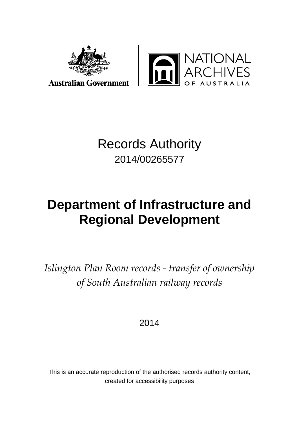



# Records Authority 2014/00265577

# **Department of Infrastructure and Regional Development**

*Islington Plan Room records - transfer of ownership of South Australian railway records*

2014

This is an accurate reproduction of the authorised records authority content, created for accessibility purposes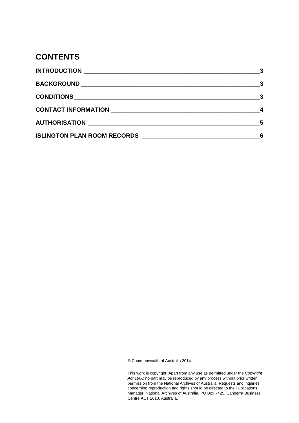### **CONTENTS**

| 3                          |
|----------------------------|
|                            |
| - 3                        |
|                            |
| $\overline{\phantom{0}}$ 5 |
| 6                          |

© Commonwealth of Australia 2014

This work is copyright. Apart from any use as permitted under the *Copyright Act 1968,* no part may be reproduced by any process without prior written permission from the National Archives of Australia. Requests and inquiries concerning reproduction and rights should be directed to the Publications Manager, National Archives of Australia, PO Box 7425, Canberra Business Centre ACT 2610, Australia.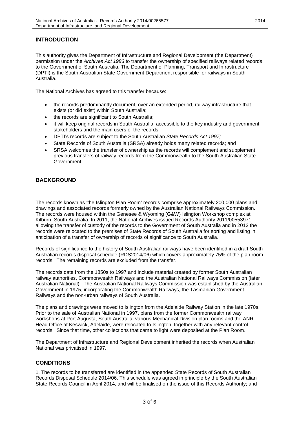### <span id="page-2-0"></span>**INTRODUCTION**

This authority gives the Department of Infrastructure and Regional Development (the Department) permission under the *Archives Act 1983* to transfer the ownership of specified railways related records to the Government of South Australia. The Department of Planning, Transport and Infrastructure (DPTI) is the South Australian State Government Department responsible for railways in South Australia.

The National Archives has agreed to this transfer because:

- the records predominantly document, over an extended period, railway infrastructure that exists (or did exist) within South Australia;
- the records are significant to South Australia;
- it will keep original records in South Australia, accessible to the key industry and government stakeholders and the main users of the records;
- DPTI's records are subject to the South Australian *State Records Act 1997;*
- State Records of South Australia (SRSA) already holds many related records; and
- SRSA welcomes the transfer of ownership as the records will complement and supplement previous transfers of railway records from the Commonwealth to the South Australian State Government.

### <span id="page-2-1"></span>**BACKGROUND**

The records known as 'the Islington Plan Room' records comprise approximately 200,000 plans and drawings and associated records formerly owned by the Australian National Railways Commission. The records were housed within the Genesee & Wyoming (G&W) Islington Workshop complex at Kilburn, South Australia. In 2011, the National Archives issued Records Authority 2011/00553971 allowing the transfer of custody of the records to the Government of South Australia and in 2012 the records were relocated to the premises of State Records of South Australia for sorting and listing in anticipation of a transfer of ownership of records of significance to South Australia.

Records of significance to the history of South Australian railways have been identified in a draft South Australian records disposal schedule (RDS2014/06) which covers approximately 75% of the plan room records. The remaining records are excluded from the transfer.

The records date from the 1850s to 1997 and include material created by former South Australian railway authorities, Commonwealth Railways and the Australian National Railways Commission (later Australian National). The Australian National Railways Commission was established by the Australian Government in 1975, incorporating the Commonwealth Railways, the Tasmanian Government Railways and the non-urban railways of South Australia.

The plans and drawings were moved to Islington from the Adelaide Railway Station in the late 1970s. Prior to the sale of Australian National in 1997, plans from the former Commonwealth railway workshops at Port Augusta, South Australia, various Mechanical Division plan rooms and the ANR Head Office at Keswick, Adelaide, were relocated to Islington, together with any relevant control records. Since that time, other collections that came to light were deposited at the Plan Room.

The Department of Infrastructure and Regional Development inherited the records when Australian National was privatised in 1997.

#### <span id="page-2-2"></span>**CONDITIONS**

1. The records to be transferred are identified in the appended State Records of South Australian Records Disposal Schedule 2014/06. This schedule was agreed in principle by the South Australian State Records Council in April 2014, and will be finalised on the issue of this Records Authority; and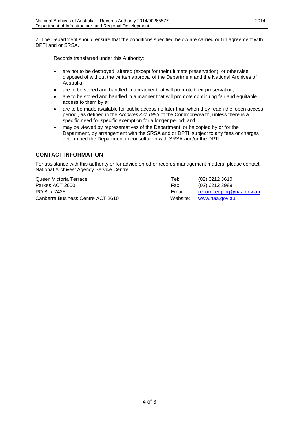2. The Department should ensure that the conditions specified below are carried out in agreement with DPTI and or SRSA.

Records transferred under this Authority:

- are not to be destroyed, altered (except for their ultimate preservation), or otherwise disposed of without the written approval of the Department and the National Archives of Australia;
- are to be stored and handled in a manner that will promote their preservation;
- are to be stored and handled in a manner that will promote continuing fair and equitable access to them by all;
- are to be made available for public access no later than when they reach the 'open access period', as defined in the *Archives Act 1983* of the Commonwealth, unless there is a specific need for specific exemption for a longer period; and
- may be viewed by representatives of the Department, or be copied by or for the Department, by arrangement with the SRSA and or DPTI, subject to any fees or charges determined the Department in consultation with SRSA and/or the DPTI.

### <span id="page-3-0"></span>**CONTACT INFORMATION**

For assistance with this authority or for advice on other records management matters, please contact National Archives' Agency Service Centre:

| Tel:     | (02) 6212 3610           |
|----------|--------------------------|
| Fax:     | (02) 6212 3989           |
| Email:   | recordkeeping@naa.gov.au |
| Website: | www.naa.gov.au           |
|          |                          |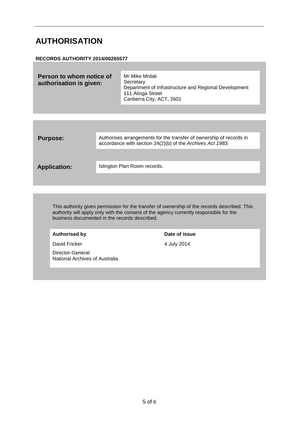## <span id="page-4-0"></span>**AUTHORISATION**

#### **RECORDS AUTHORITY 2014/00265577**

| Person to whom notice of<br>authorisation is given: | Mr Mike Mrdak<br>Secretary<br>Department of Infrastructure and Regional Development<br>111 Alinga Street<br>Canberra City, ACT, 2601 |  |
|-----------------------------------------------------|--------------------------------------------------------------------------------------------------------------------------------------|--|
|                                                     |                                                                                                                                      |  |
|                                                     |                                                                                                                                      |  |

**Purpose:** Authorises arrangements for the transfer of ownership of records in accordance with section 24(2)(b) of the *Archives Act 1983*.

Application: **Islington Plan Room records.** 

This authority gives permission for the transfer of ownership of the records described. This authority will apply only with the consent of the agency currently responsible for the business documented in the records described.

#### Authorised by **Date of issue**

David Fricker 4 July 2014

Director-General National Archives of Australia